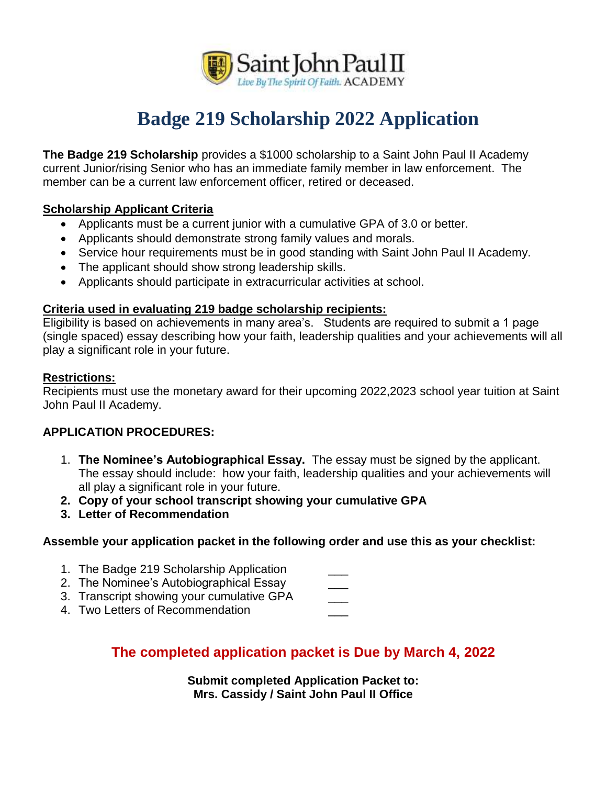

# **Badge 219 Scholarship 2022 Application**

**The Badge 219 Scholarship** provides a \$1000 scholarship to a Saint John Paul II Academy current Junior/rising Senior who has an immediate family member in law enforcement. The member can be a current law enforcement officer, retired or deceased.

#### **Scholarship Applicant Criteria**

- Applicants must be a current junior with a cumulative GPA of 3.0 or better.
- Applicants should demonstrate strong family values and morals.
- Service hour requirements must be in good standing with Saint John Paul II Academy.
- The applicant should show strong leadership skills.
- Applicants should participate in extracurricular activities at school.

#### **Criteria used in evaluating 219 badge scholarship recipients:**

Eligibility is based on achievements in many area's. Students are required to submit a 1 page (single spaced) essay describing how your faith, leadership qualities and your achievements will all play a significant role in your future.

#### **Restrictions:**

Recipients must use the monetary award for their upcoming 2022,2023 school year tuition at Saint John Paul II Academy.

#### **APPLICATION PROCEDURES:**

- 1. **The Nominee's Autobiographical Essay.** The essay must be signed by the applicant. The essay should include: how your faith, leadership qualities and your achievements will all play a significant role in your future.
- **2. Copy of your school transcript showing your cumulative GPA**
- **3. Letter of Recommendation**

#### **Assemble your application packet in the following order and use this as your checklist:**

- 1. The Badge 219 Scholarship Application
- 2. The Nominee's Autobiographical Essay
- 3. Transcript showing your cumulative GPA \_\_\_\_
- 4. Two Letters of Recommendation

### **The completed application packet is Due by March 4, 2022**

**Submit completed Application Packet to: Mrs. Cassidy / Saint John Paul II Office**